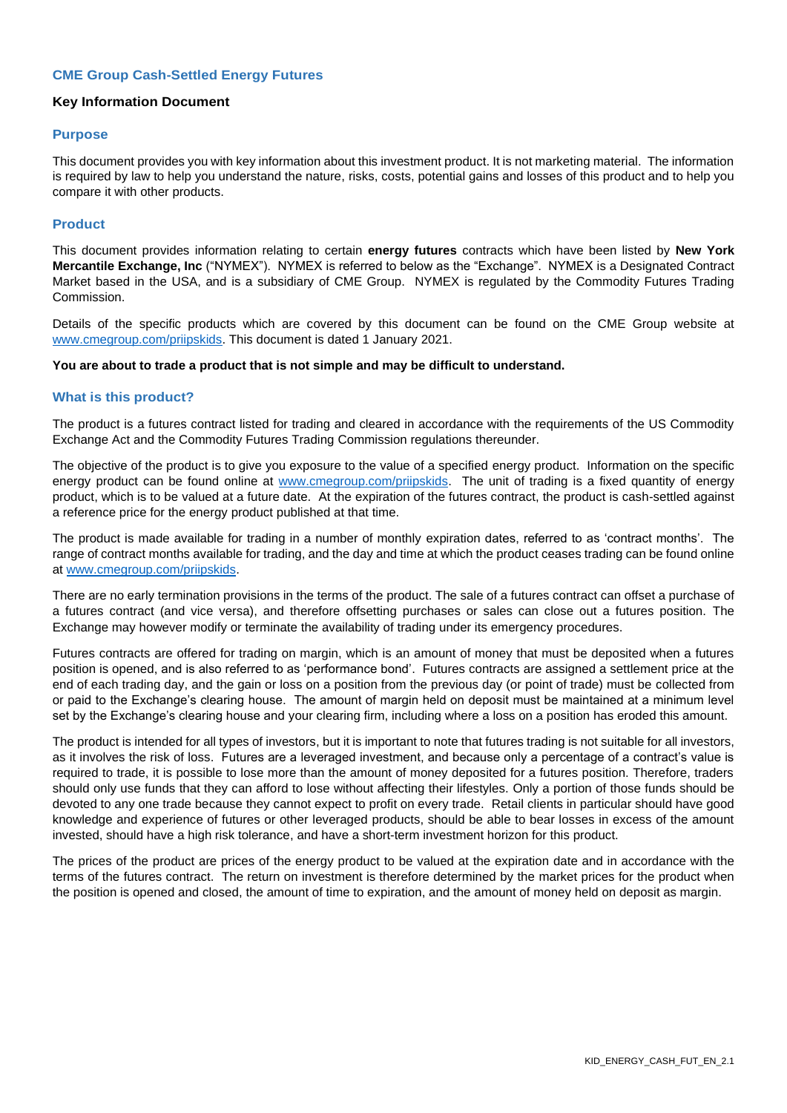# **CME Group Cash-Settled Energy Futures**

# **Key Information Document**

#### **Purpose**

This document provides you with key information about this investment product. It is not marketing material. The information is required by law to help you understand the nature, risks, costs, potential gains and losses of this product and to help you compare it with other products.

# **Product**

This document provides information relating to certain **energy futures** contracts which have been listed by **New York Mercantile Exchange, Inc** ("NYMEX"). NYMEX is referred to below as the "Exchange". NYMEX is a Designated Contract Market based in the USA, and is a subsidiary of CME Group. NYMEX is regulated by the Commodity Futures Trading Commission.

Details of the specific products which are covered by this document can be found on the CME Group website at [www.cmegroup.com/priipskids.](http://www.cmegroup.com/priipskids) This document is dated 1 January 2021.

#### **You are about to trade a product that is not simple and may be difficult to understand.**

#### **What is this product?**

The product is a futures contract listed for trading and cleared in accordance with the requirements of the US Commodity Exchange Act and the Commodity Futures Trading Commission regulations thereunder.

The objective of the product is to give you exposure to the value of a specified energy product. Information on the specific energy product can be found online at [www.cmegroup.com/priipskids.](http://www.cmegroup.com/priipskids) The unit of trading is a fixed quantity of energy product, which is to be valued at a future date. At the expiration of the futures contract, the product is cash-settled against a reference price for the energy product published at that time.

The product is made available for trading in a number of monthly expiration dates, referred to as 'contract months'. The range of contract months available for trading, and the day and time at which the product ceases trading can be found online at [www.cmegroup.com/priipskids.](http://www.cmegroup.com/priipskids)

There are no early termination provisions in the terms of the product. The sale of a futures contract can offset a purchase of a futures contract (and vice versa), and therefore offsetting purchases or sales can close out a futures position. The Exchange may however modify or terminate the availability of trading under its emergency procedures.

Futures contracts are offered for trading on margin, which is an amount of money that must be deposited when a futures position is opened, and is also referred to as 'performance bond'. Futures contracts are assigned a settlement price at the end of each trading day, and the gain or loss on a position from the previous day (or point of trade) must be collected from or paid to the Exchange's clearing house. The amount of margin held on deposit must be maintained at a minimum level set by the Exchange's clearing house and your clearing firm, including where a loss on a position has eroded this amount.

The product is intended for all types of investors, but it is important to note that futures trading is not suitable for all investors, as it involves the risk of loss. Futures are a leveraged investment, and because only a percentage of a contract's value is required to trade, it is possible to lose more than the amount of money deposited for a futures position. Therefore, traders should only use funds that they can afford to lose without affecting their lifestyles. Only a portion of those funds should be devoted to any one trade because they cannot expect to profit on every trade. Retail clients in particular should have good knowledge and experience of futures or other leveraged products, should be able to bear losses in excess of the amount invested, should have a high risk tolerance, and have a short-term investment horizon for this product.

The prices of the product are prices of the energy product to be valued at the expiration date and in accordance with the terms of the futures contract. The return on investment is therefore determined by the market prices for the product when the position is opened and closed, the amount of time to expiration, and the amount of money held on deposit as margin.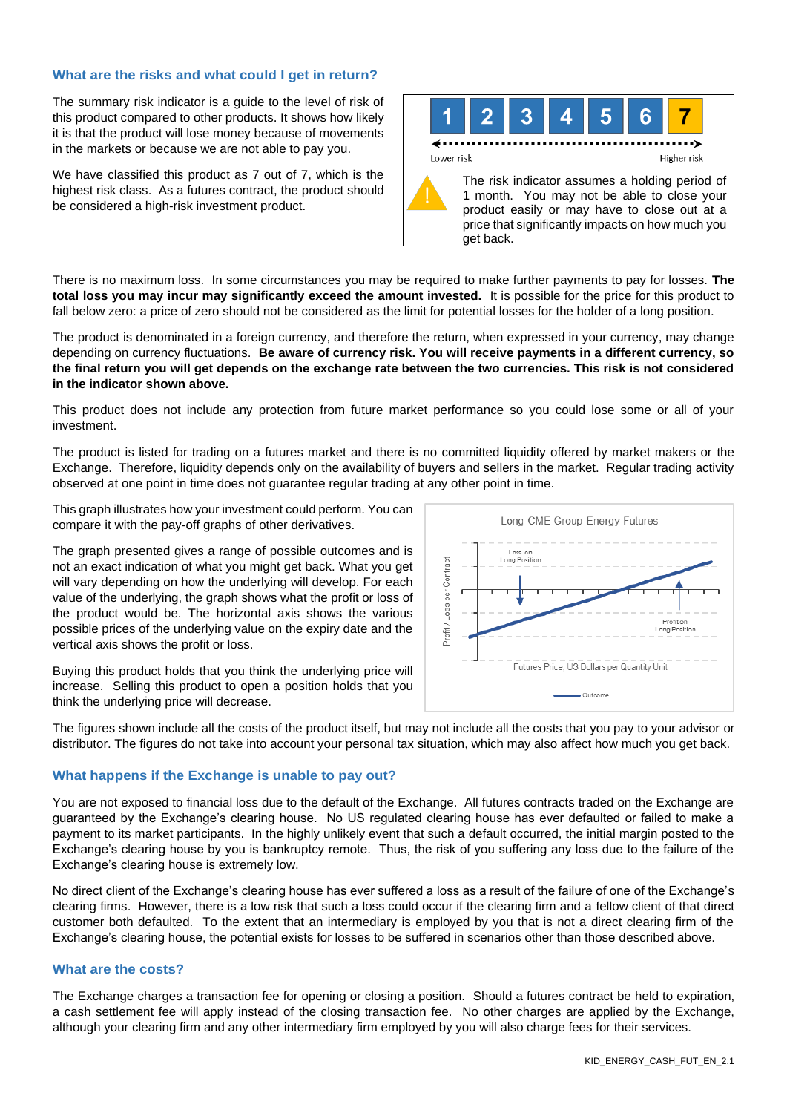# **What are the risks and what could I get in return?**

The summary risk indicator is a guide to the level of risk of this product compared to other products. It shows how likely it is that the product will lose money because of movements in the markets or because we are not able to pay you.

We have classified this product as 7 out of 7, which is the highest risk class. As a futures contract, the product should be considered a high-risk investment product.



There is no maximum loss. In some circumstances you may be required to make further payments to pay for losses. **The total loss you may incur may significantly exceed the amount invested.** It is possible for the price for this product to fall below zero: a price of zero should not be considered as the limit for potential losses for the holder of a long position.

The product is denominated in a foreign currency, and therefore the return, when expressed in your currency, may change depending on currency fluctuations. **Be aware of currency risk. You will receive payments in a different currency, so the final return you will get depends on the exchange rate between the two currencies. This risk is not considered in the indicator shown above.**

This product does not include any protection from future market performance so you could lose some or all of your investment.

The product is listed for trading on a futures market and there is no committed liquidity offered by market makers or the Exchange. Therefore, liquidity depends only on the availability of buyers and sellers in the market. Regular trading activity observed at one point in time does not guarantee regular trading at any other point in time.

This graph illustrates how your investment could perform. You can compare it with the pay-off graphs of other derivatives.

The graph presented gives a range of possible outcomes and is not an exact indication of what you might get back. What you get will vary depending on how the underlying will develop. For each value of the underlying, the graph shows what the profit or loss of the product would be. The horizontal axis shows the various possible prices of the underlying value on the expiry date and the vertical axis shows the profit or loss.

Buying this product holds that you think the underlying price will increase. Selling this product to open a position holds that you think the underlying price will decrease.



The figures shown include all the costs of the product itself, but may not include all the costs that you pay to your advisor or distributor. The figures do not take into account your personal tax situation, which may also affect how much you get back.

# **What happens if the Exchange is unable to pay out?**

You are not exposed to financial loss due to the default of the Exchange. All futures contracts traded on the Exchange are guaranteed by the Exchange's clearing house. No US regulated clearing house has ever defaulted or failed to make a payment to its market participants. In the highly unlikely event that such a default occurred, the initial margin posted to the Exchange's clearing house by you is bankruptcy remote. Thus, the risk of you suffering any loss due to the failure of the Exchange's clearing house is extremely low.

No direct client of the Exchange's clearing house has ever suffered a loss as a result of the failure of one of the Exchange's clearing firms. However, there is a low risk that such a loss could occur if the clearing firm and a fellow client of that direct customer both defaulted. To the extent that an intermediary is employed by you that is not a direct clearing firm of the Exchange's clearing house, the potential exists for losses to be suffered in scenarios other than those described above.

# **What are the costs?**

The Exchange charges a transaction fee for opening or closing a position. Should a futures contract be held to expiration, a cash settlement fee will apply instead of the closing transaction fee. No other charges are applied by the Exchange, although your clearing firm and any other intermediary firm employed by you will also charge fees for their services.